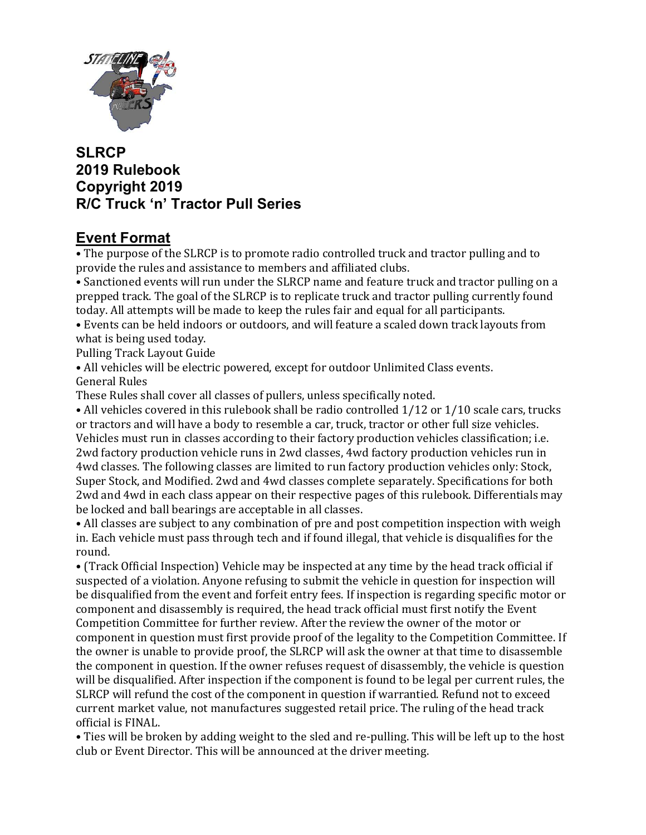

# SLRCP 2019 Rulebook Copyright 2019 R/C Truck 'n' Tractor Pull Series

# Event Format

• The purpose of the SLRCP is to promote radio controlled truck and tractor pulling and to provide the rules and assistance to members and affiliated clubs.

• Sanctioned events will run under the SLRCP name and feature truck and tractor pulling on a prepped track. The goal of the SLRCP is to replicate truck and tractor pulling currently found today. All attempts will be made to keep the rules fair and equal for all participants.

• Events can be held indoors or outdoors, and will feature a scaled down track layouts from what is being used today.

Pulling Track Layout Guide

• All vehicles will be electric powered, except for outdoor Unlimited Class events. General Rules

These Rules shall cover all classes of pullers, unless specifically noted.

• All vehicles covered in this rulebook shall be radio controlled  $1/12$  or  $1/10$  scale cars, trucks or tractors and will have a body to resemble a car, truck, tractor or other full size vehicles. Vehicles must run in classes according to their factory production vehicles classification; i.e. 2wd factory production vehicle runs in 2wd classes, 4wd factory production vehicles run in 4wd classes. The following classes are limited to run factory production vehicles only: Stock, Super Stock, and Modified. 2wd and 4wd classes complete separately. Specifications for both 2wd and 4wd in each class appear on their respective pages of this rulebook. Differentials may be locked and ball bearings are acceptable in all classes.

• All classes are subject to any combination of pre and post competition inspection with weigh in. Each vehicle must pass through tech and if found illegal, that vehicle is disqualifies for the round.

• (Track Official Inspection) Vehicle may be inspected at any time by the head track official if suspected of a violation. Anyone refusing to submit the vehicle in question for inspection will be disqualified from the event and forfeit entry fees. If inspection is regarding specific motor or component and disassembly is required, the head track official must first notify the Event Competition Committee for further review. After the review the owner of the motor or component in question must first provide proof of the legality to the Competition Committee. If the owner is unable to provide proof, the SLRCP will ask the owner at that time to disassemble the component in question. If the owner refuses request of disassembly, the vehicle is question will be disqualified. After inspection if the component is found to be legal per current rules, the SLRCP will refund the cost of the component in question if warrantied. Refund not to exceed current market value, not manufactures suggested retail price. The ruling of the head track official is FINAL.

• Ties will be broken by adding weight to the sled and re-pulling. This will be left up to the host club or Event Director. This will be announced at the driver meeting.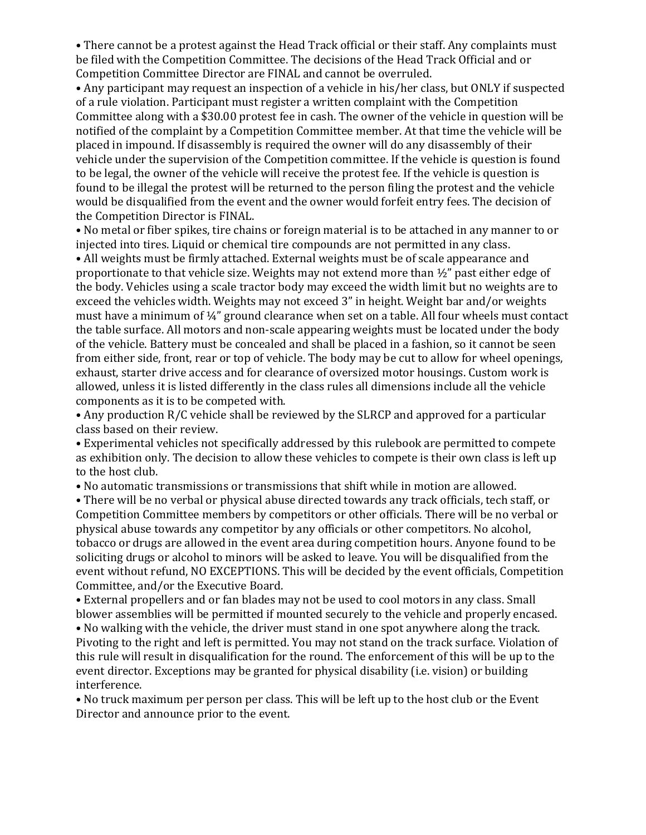• There cannot be a protest against the Head Track official or their staff. Any complaints must be filed with the Competition Committee. The decisions of the Head Track Official and or Competition Committee Director are FINAL and cannot be overruled.

• Any participant may request an inspection of a vehicle in his/her class, but ONLY if suspected of a rule violation. Participant must register a written complaint with the Competition Committee along with a \$30.00 protest fee in cash. The owner of the vehicle in question will be notified of the complaint by a Competition Committee member. At that time the vehicle will be placed in impound. If disassembly is required the owner will do any disassembly of their vehicle under the supervision of the Competition committee. If the vehicle is question is found to be legal, the owner of the vehicle will receive the protest fee. If the vehicle is question is found to be illegal the protest will be returned to the person filing the protest and the vehicle would be disqualified from the event and the owner would forfeit entry fees. The decision of the Competition Director is FINAL.

• No metal or fiber spikes, tire chains or foreign material is to be attached in any manner to or injected into tires. Liquid or chemical tire compounds are not permitted in any class.

• All weights must be firmly attached. External weights must be of scale appearance and proportionate to that vehicle size. Weights may not extend more than ½" past either edge of the body. Vehicles using a scale tractor body may exceed the width limit but no weights are to exceed the vehicles width. Weights may not exceed 3" in height. Weight bar and/or weights must have a minimum of ¼" ground clearance when set on a table. All four wheels must contact the table surface. All motors and non-scale appearing weights must be located under the body of the vehicle. Battery must be concealed and shall be placed in a fashion, so it cannot be seen from either side, front, rear or top of vehicle. The body may be cut to allow for wheel openings, exhaust, starter drive access and for clearance of oversized motor housings. Custom work is allowed, unless it is listed differently in the class rules all dimensions include all the vehicle components as it is to be competed with.

• Any production R/C vehicle shall be reviewed by the SLRCP and approved for a particular class based on their review.

• Experimental vehicles not specifically addressed by this rulebook are permitted to compete as exhibition only. The decision to allow these vehicles to compete is their own class is left up to the host club.

• No automatic transmissions or transmissions that shift while in motion are allowed.

• There will be no verbal or physical abuse directed towards any track officials, tech staff, or Competition Committee members by competitors or other officials. There will be no verbal or physical abuse towards any competitor by any officials or other competitors. No alcohol, tobacco or drugs are allowed in the event area during competition hours. Anyone found to be soliciting drugs or alcohol to minors will be asked to leave. You will be disqualified from the event without refund, NO EXCEPTIONS. This will be decided by the event officials, Competition Committee, and/or the Executive Board.

• External propellers and or fan blades may not be used to cool motors in any class. Small blower assemblies will be permitted if mounted securely to the vehicle and properly encased.

• No walking with the vehicle, the driver must stand in one spot anywhere along the track. Pivoting to the right and left is permitted. You may not stand on the track surface. Violation of this rule will result in disqualification for the round. The enforcement of this will be up to the event director. Exceptions may be granted for physical disability (i.e. vision) or building interference.

• No truck maximum per person per class. This will be left up to the host club or the Event Director and announce prior to the event.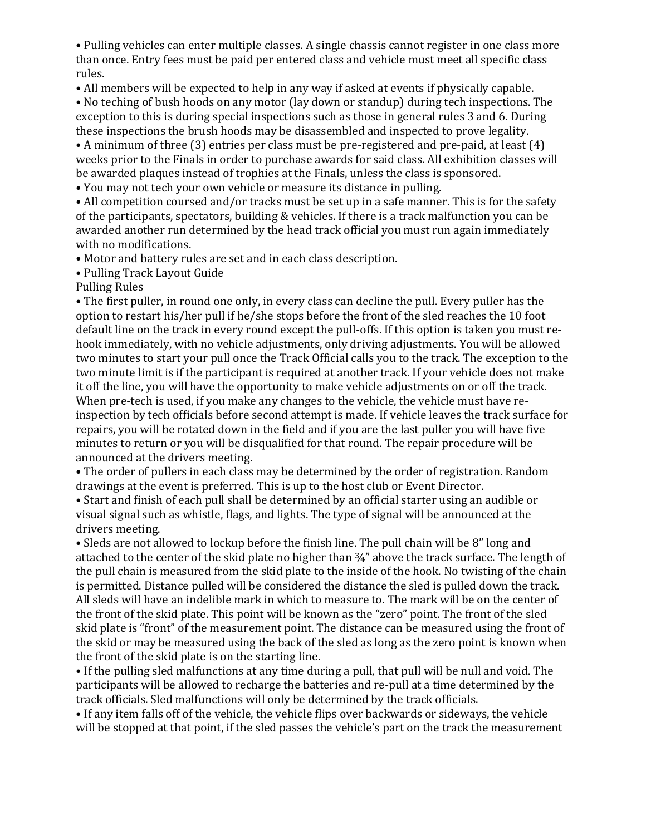• Pulling vehicles can enter multiple classes. A single chassis cannot register in one class more than once. Entry fees must be paid per entered class and vehicle must meet all specific class rules.

• All members will be expected to help in any way if asked at events if physically capable.

• No teching of bush hoods on any motor (lay down or standup) during tech inspections. The exception to this is during special inspections such as those in general rules 3 and 6. During these inspections the brush hoods may be disassembled and inspected to prove legality.

• A minimum of three (3) entries per class must be pre-registered and pre-paid, at least (4) weeks prior to the Finals in order to purchase awards for said class. All exhibition classes will be awarded plaques instead of trophies at the Finals, unless the class is sponsored.

• You may not tech your own vehicle or measure its distance in pulling.

• All competition coursed and/or tracks must be set up in a safe manner. This is for the safety of the participants, spectators, building & vehicles. If there is a track malfunction you can be awarded another run determined by the head track official you must run again immediately with no modifications.

• Motor and battery rules are set and in each class description.

• Pulling Track Layout Guide

Pulling Rules

• The first puller, in round one only, in every class can decline the pull. Every puller has the option to restart his/her pull if he/she stops before the front of the sled reaches the 10 foot default line on the track in every round except the pull-offs. If this option is taken you must rehook immediately, with no vehicle adjustments, only driving adjustments. You will be allowed two minutes to start your pull once the Track Official calls you to the track. The exception to the two minute limit is if the participant is required at another track. If your vehicle does not make it off the line, you will have the opportunity to make vehicle adjustments on or off the track. When pre-tech is used, if you make any changes to the vehicle, the vehicle must have reinspection by tech officials before second attempt is made. If vehicle leaves the track surface for repairs, you will be rotated down in the field and if you are the last puller you will have five minutes to return or you will be disqualified for that round. The repair procedure will be announced at the drivers meeting.

• The order of pullers in each class may be determined by the order of registration. Random drawings at the event is preferred. This is up to the host club or Event Director.

• Start and finish of each pull shall be determined by an official starter using an audible or visual signal such as whistle, flags, and lights. The type of signal will be announced at the drivers meeting.

• Sleds are not allowed to lockup before the finish line. The pull chain will be 8" long and attached to the center of the skid plate no higher than ¾" above the track surface. The length of the pull chain is measured from the skid plate to the inside of the hook. No twisting of the chain is permitted. Distance pulled will be considered the distance the sled is pulled down the track. All sleds will have an indelible mark in which to measure to. The mark will be on the center of the front of the skid plate. This point will be known as the "zero" point. The front of the sled skid plate is "front" of the measurement point. The distance can be measured using the front of the skid or may be measured using the back of the sled as long as the zero point is known when the front of the skid plate is on the starting line.

• If the pulling sled malfunctions at any time during a pull, that pull will be null and void. The participants will be allowed to recharge the batteries and re-pull at a time determined by the track officials. Sled malfunctions will only be determined by the track officials.

• If any item falls off of the vehicle, the vehicle flips over backwards or sideways, the vehicle will be stopped at that point, if the sled passes the vehicle's part on the track the measurement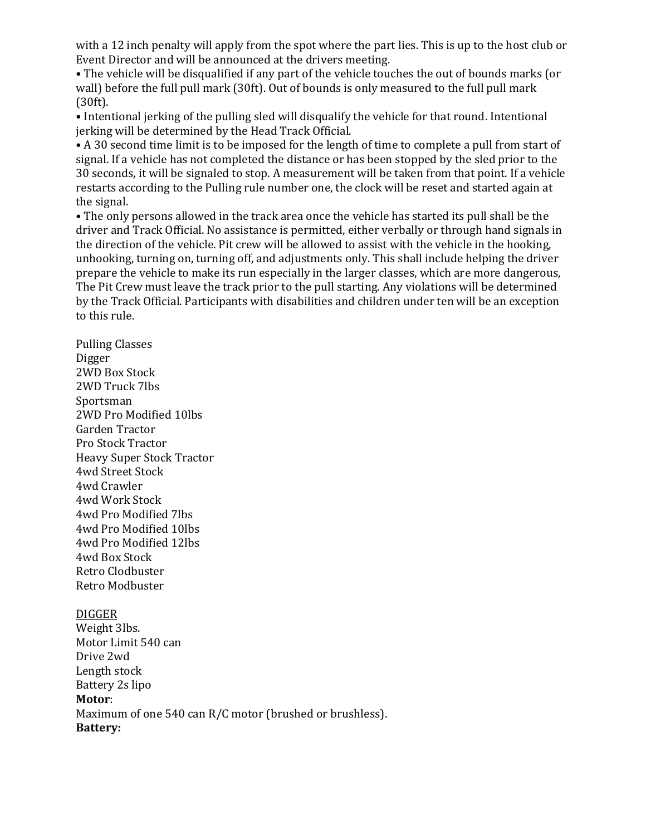with a 12 inch penalty will apply from the spot where the part lies. This is up to the host club or Event Director and will be announced at the drivers meeting.

• The vehicle will be disqualified if any part of the vehicle touches the out of bounds marks (or wall) before the full pull mark (30ft). Out of bounds is only measured to the full pull mark (30ft).

• Intentional jerking of the pulling sled will disqualify the vehicle for that round. Intentional jerking will be determined by the Head Track Official.

• A 30 second time limit is to be imposed for the length of time to complete a pull from start of signal. If a vehicle has not completed the distance or has been stopped by the sled prior to the 30 seconds, it will be signaled to stop. A measurement will be taken from that point. If a vehicle restarts according to the Pulling rule number one, the clock will be reset and started again at the signal.

• The only persons allowed in the track area once the vehicle has started its pull shall be the driver and Track Official. No assistance is permitted, either verbally or through hand signals in the direction of the vehicle. Pit crew will be allowed to assist with the vehicle in the hooking, unhooking, turning on, turning off, and adjustments only. This shall include helping the driver prepare the vehicle to make its run especially in the larger classes, which are more dangerous, The Pit Crew must leave the track prior to the pull starting. Any violations will be determined by the Track Official. Participants with disabilities and children under ten will be an exception to this rule.

Pulling Classes Digger 2WD Box Stock 2WD Truck 7lbs Sportsman 2WD Pro Modified 10lbs Garden Tractor Pro Stock Tractor Heavy Super Stock Tractor 4wd Street Stock 4wd Crawler 4wd Work Stock 4wd Pro Modified 7lbs 4wd Pro Modified 10lbs 4wd Pro Modified 12lbs 4wd Box Stock Retro Clodbuster Retro Modbuster

#### DIGGER

Weight 3lbs. Motor Limit 540 can Drive 2wd Length stock Battery 2s lipo Motor: Maximum of one 540 can R/C motor (brushed or brushless). Battery: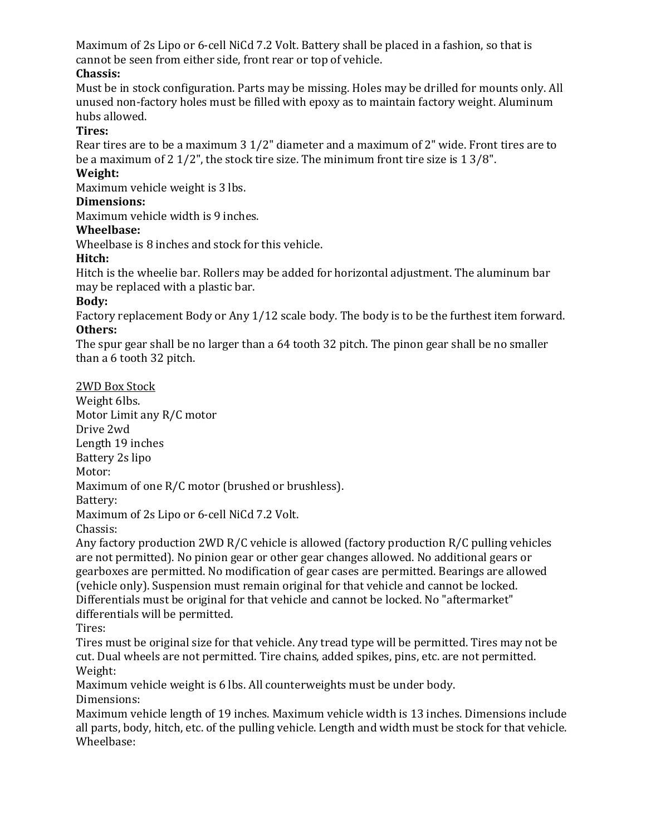Maximum of 2s Lipo or 6-cell NiCd 7.2 Volt. Battery shall be placed in a fashion, so that is cannot be seen from either side, front rear or top of vehicle.

## Chassis:

Must be in stock configuration. Parts may be missing. Holes may be drilled for mounts only. All unused non-factory holes must be filled with epoxy as to maintain factory weight. Aluminum hubs allowed.

## Tires:

Rear tires are to be a maximum 3 1/2" diameter and a maximum of 2" wide. Front tires are to be a maximum of 2 1/2", the stock tire size. The minimum front tire size is 1 3/8".

### Weight:

Maximum vehicle weight is 3 lbs.

#### Dimensions:

Maximum vehicle width is 9 inches.

### Wheelbase:

Wheelbase is 8 inches and stock for this vehicle.

### Hitch:

Hitch is the wheelie bar. Rollers may be added for horizontal adjustment. The aluminum bar may be replaced with a plastic bar.

### Body:

Factory replacement Body or Any 1/12 scale body. The body is to be the furthest item forward. Others:

The spur gear shall be no larger than a 64 tooth 32 pitch. The pinon gear shall be no smaller than a 6 tooth 32 pitch.

2WD Box Stock

Weight 6lbs. Motor Limit any R/C motor Drive 2wd Length 19 inches Battery 2s lipo Motor: Maximum of one R/C motor (brushed or brushless). Battery: Maximum of 2s Lipo or 6-cell NiCd 7.2 Volt. Chassis:

Any factory production 2WD R/C vehicle is allowed (factory production R/C pulling vehicles are not permitted). No pinion gear or other gear changes allowed. No additional gears or gearboxes are permitted. No modification of gear cases are permitted. Bearings are allowed (vehicle only). Suspension must remain original for that vehicle and cannot be locked. Differentials must be original for that vehicle and cannot be locked. No "aftermarket" differentials will be permitted.

Tires:

Tires must be original size for that vehicle. Any tread type will be permitted. Tires may not be cut. Dual wheels are not permitted. Tire chains, added spikes, pins, etc. are not permitted. Weight:

Maximum vehicle weight is 6 lbs. All counterweights must be under body. Dimensions:

Maximum vehicle length of 19 inches. Maximum vehicle width is 13 inches. Dimensions include all parts, body, hitch, etc. of the pulling vehicle. Length and width must be stock for that vehicle. Wheelbase: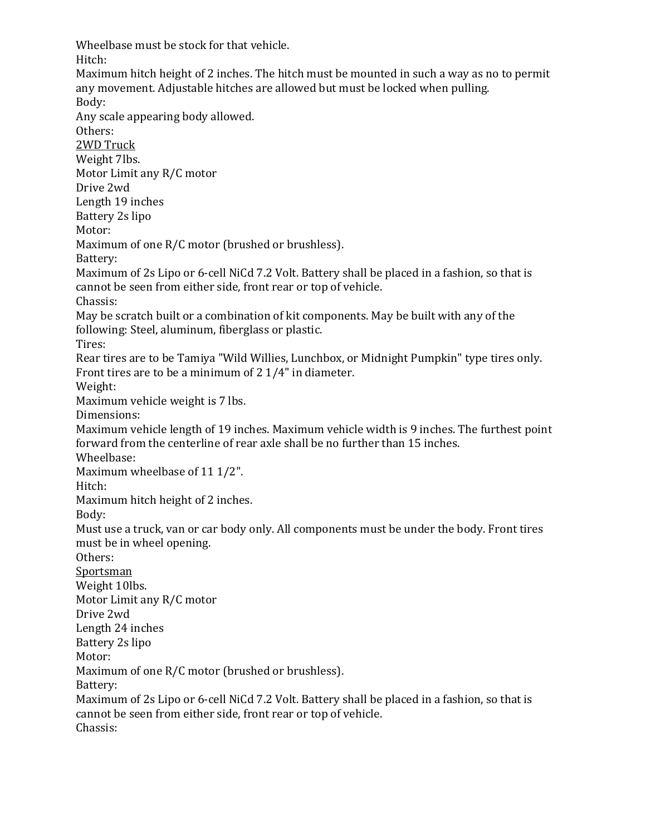Wheelbase must be stock for that vehicle. Hitch:

Maximum hitch height of 2 inches. The hitch must be mounted in such a way as no to permit any movement. Adjustable hitches are allowed but must be locked when pulling. Body: Any scale appearing body allowed. Others: 2WD Truck Weight 7lbs. Motor Limit any R/C motor Drive 2wd Length 19 inches Battery 2s lipo Motor: Maximum of one R/C motor (brushed or brushless). Battery: Maximum of 2s Lipo or 6-cell NiCd 7.2 Volt. Battery shall be placed in a fashion, so that is cannot be seen from either side, front rear or top of vehicle. Chassis: May be scratch built or a combination of kit components. May be built with any of the following: Steel, aluminum, fiberglass or plastic. Tires: Rear tires are to be Tamiya "Wild Willies, Lunchbox, or Midnight Pumpkin" type tires only. Front tires are to be a minimum of 2 1/4" in diameter. Weight: Maximum vehicle weight is 7 lbs. Dimensions: Maximum vehicle length of 19 inches. Maximum vehicle width is 9 inches. The furthest point forward from the centerline of rear axle shall be no further than 15 inches. Wheelbase: Maximum wheelbase of 11 1/2". Hitch: Maximum hitch height of 2 inches. Body: Must use a truck, van or car body only. All components must be under the body. Front tires must be in wheel opening. Others: Sportsman Weight 10lbs. Motor Limit any R/C motor Drive 2wd Length 24 inches Battery 2s lipo Motor: Maximum of one R/C motor (brushed or brushless). Battery: Maximum of 2s Lipo or 6-cell NiCd 7.2 Volt. Battery shall be placed in a fashion, so that is cannot be seen from either side, front rear or top of vehicle. Chassis: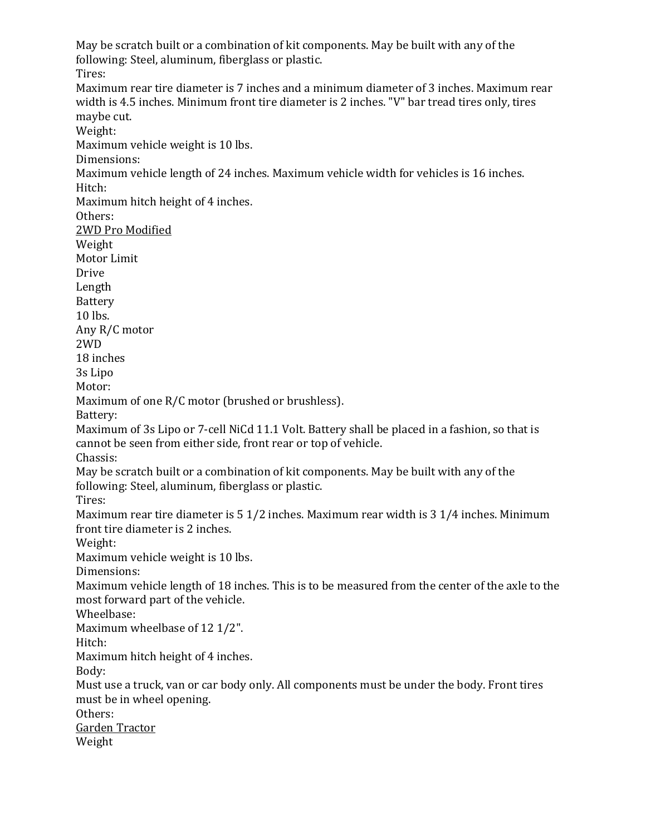May be scratch built or a combination of kit components. May be built with any of the following: Steel, aluminum, fiberglass or plastic. Tires: Maximum rear tire diameter is 7 inches and a minimum diameter of 3 inches. Maximum rear width is 4.5 inches. Minimum front tire diameter is 2 inches. "V" bar tread tires only, tires maybe cut. Weight: Maximum vehicle weight is 10 lbs. Dimensions: Maximum vehicle length of 24 inches. Maximum vehicle width for vehicles is 16 inches. Hitch: Maximum hitch height of 4 inches. Others: 2WD Pro Modified Weight Motor Limit Drive Length Battery 10 lbs. Any R/C motor 2WD 18 inches 3s Lipo Motor: Maximum of one R/C motor (brushed or brushless). Battery: Maximum of 3s Lipo or 7-cell NiCd 11.1 Volt. Battery shall be placed in a fashion, so that is cannot be seen from either side, front rear or top of vehicle. Chassis: May be scratch built or a combination of kit components. May be built with any of the following: Steel, aluminum, fiberglass or plastic. Tires: Maximum rear tire diameter is 5 1/2 inches. Maximum rear width is 3 1/4 inches. Minimum front tire diameter is 2 inches. Weight: Maximum vehicle weight is 10 lbs. Dimensions: Maximum vehicle length of 18 inches. This is to be measured from the center of the axle to the most forward part of the vehicle. Wheelbase: Maximum wheelbase of 12 1/2". Hitch: Maximum hitch height of 4 inches. Body: Must use a truck, van or car body only. All components must be under the body. Front tires must be in wheel opening. Others: Garden Tractor Weight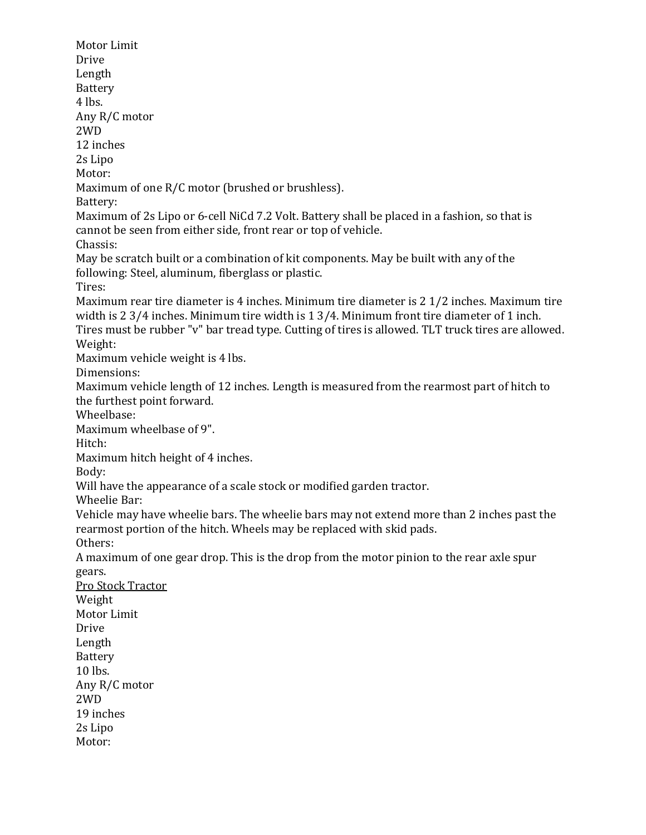Motor Limit Drive Length Battery 4 lbs. Any R/C motor 2WD 12 inches 2s Lipo Motor: Maximum of one R/C motor (brushed or brushless). Battery: Maximum of 2s Lipo or 6-cell NiCd 7.2 Volt. Battery shall be placed in a fashion, so that is cannot be seen from either side, front rear or top of vehicle. Chassis: May be scratch built or a combination of kit components. May be built with any of the following: Steel, aluminum, fiberglass or plastic. Tires: Maximum rear tire diameter is 4 inches. Minimum tire diameter is 2 1/2 inches. Maximum tire width is 2 3/4 inches. Minimum tire width is 1 3/4. Minimum front tire diameter of 1 inch. Tires must be rubber "v" bar tread type. Cutting of tires is allowed. TLT truck tires are allowed. Weight: Maximum vehicle weight is 4 lbs. Dimensions: Maximum vehicle length of 12 inches. Length is measured from the rearmost part of hitch to the furthest point forward. Wheelbase: Maximum wheelbase of 9". Hitch: Maximum hitch height of 4 inches. Body: Will have the appearance of a scale stock or modified garden tractor. Wheelie Bar: Vehicle may have wheelie bars. The wheelie bars may not extend more than 2 inches past the rearmost portion of the hitch. Wheels may be replaced with skid pads. Others: A maximum of one gear drop. This is the drop from the motor pinion to the rear axle spur gears. Pro Stock Tractor Weight Motor Limit Drive Length Battery 10 lbs. Any R/C motor 2WD 19 inches 2s Lipo Motor: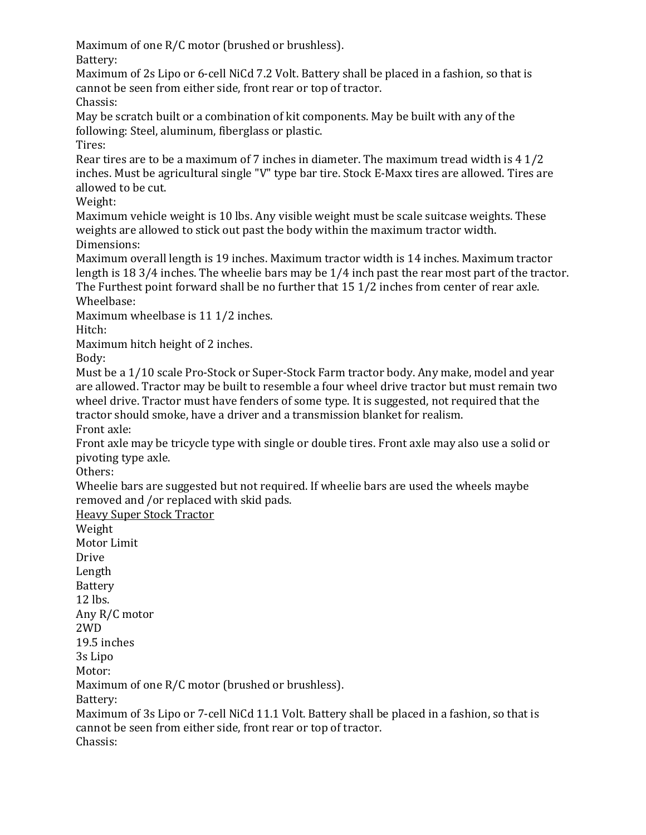Maximum of one R/C motor (brushed or brushless).

Battery:

Maximum of 2s Lipo or 6-cell NiCd 7.2 Volt. Battery shall be placed in a fashion, so that is cannot be seen from either side, front rear or top of tractor. Chassis:

May be scratch built or a combination of kit components. May be built with any of the following: Steel, aluminum, fiberglass or plastic.

Tires:

Rear tires are to be a maximum of 7 inches in diameter. The maximum tread width is 4 1/2 inches. Must be agricultural single "V" type bar tire. Stock E-Maxx tires are allowed. Tires are allowed to be cut.

Weight:

Maximum vehicle weight is 10 lbs. Any visible weight must be scale suitcase weights. These weights are allowed to stick out past the body within the maximum tractor width. Dimensions:

Maximum overall length is 19 inches. Maximum tractor width is 14 inches. Maximum tractor length is 18 3/4 inches. The wheelie bars may be 1/4 inch past the rear most part of the tractor. The Furthest point forward shall be no further that 15 1/2 inches from center of rear axle. Wheelbase:

Maximum wheelbase is 11 1/2 inches.

Hitch:

Maximum hitch height of 2 inches.

Body:

Must be a 1/10 scale Pro-Stock or Super-Stock Farm tractor body. Any make, model and year are allowed. Tractor may be built to resemble a four wheel drive tractor but must remain two wheel drive. Tractor must have fenders of some type. It is suggested, not required that the tractor should smoke, have a driver and a transmission blanket for realism. Front axle:

Front axle may be tricycle type with single or double tires. Front axle may also use a solid or pivoting type axle.

Others:

Wheelie bars are suggested but not required. If wheelie bars are used the wheels maybe removed and /or replaced with skid pads.

Heavy Super Stock Tractor

Weight Motor Limit Drive Length Battery 12 lbs. Any R/C motor 2WD 19.5 inches 3s Lipo Motor: Maximum of one R/C motor (brushed or brushless). Battery: Maximum of 3s Lipo or 7-cell NiCd 11.1 Volt. Battery shall be placed in a fashion, so that is cannot be seen from either side, front rear or top of tractor. Chassis: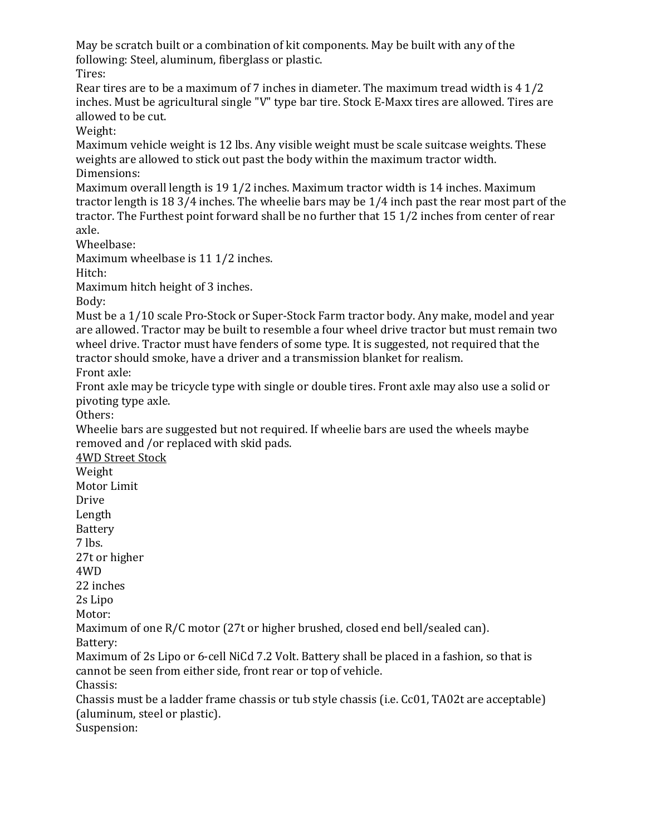May be scratch built or a combination of kit components. May be built with any of the following: Steel, aluminum, fiberglass or plastic.

Tires:

Rear tires are to be a maximum of 7 inches in diameter. The maximum tread width is 4 1/2 inches. Must be agricultural single "V" type bar tire. Stock E-Maxx tires are allowed. Tires are allowed to be cut.

Weight:

Maximum vehicle weight is 12 lbs. Any visible weight must be scale suitcase weights. These weights are allowed to stick out past the body within the maximum tractor width. Dimensions:

Maximum overall length is 19 1/2 inches. Maximum tractor width is 14 inches. Maximum tractor length is 18 3/4 inches. The wheelie bars may be 1/4 inch past the rear most part of the tractor. The Furthest point forward shall be no further that 15 1/2 inches from center of rear axle.

Wheelbase:

Maximum wheelbase is 11 1/2 inches.

Hitch:

Maximum hitch height of 3 inches.

Body:

Must be a 1/10 scale Pro-Stock or Super-Stock Farm tractor body. Any make, model and year are allowed. Tractor may be built to resemble a four wheel drive tractor but must remain two wheel drive. Tractor must have fenders of some type. It is suggested, not required that the tractor should smoke, have a driver and a transmission blanket for realism. Front axle:

Front axle may be tricycle type with single or double tires. Front axle may also use a solid or pivoting type axle.

Others:

Wheelie bars are suggested but not required. If wheelie bars are used the wheels maybe removed and /or replaced with skid pads.

4WD Street Stock

Weight

Motor Limit

Drive

Length Battery

7 lbs.

27t or higher

4WD

22 inches

2s Lipo

Motor:

Maximum of one R/C motor (27t or higher brushed, closed end bell/sealed can).

Battery:

Maximum of 2s Lipo or 6-cell NiCd 7.2 Volt. Battery shall be placed in a fashion, so that is cannot be seen from either side, front rear or top of vehicle.

Chassis:

Chassis must be a ladder frame chassis or tub style chassis (i.e. Cc01, TA02t are acceptable) (aluminum, steel or plastic).

Suspension: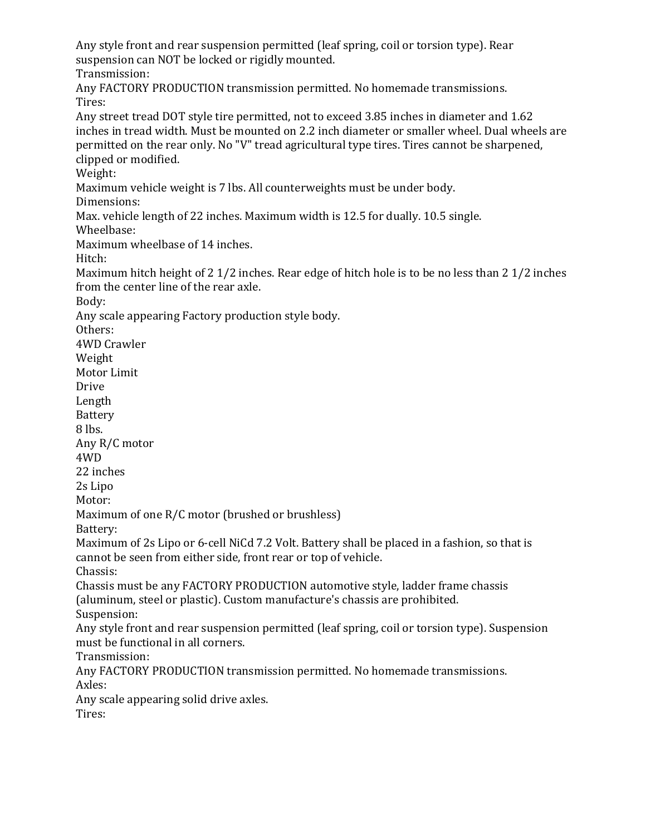Any style front and rear suspension permitted (leaf spring, coil or torsion type). Rear suspension can NOT be locked or rigidly mounted. Transmission: Any FACTORY PRODUCTION transmission permitted. No homemade transmissions. Tires: Any street tread DOT style tire permitted, not to exceed 3.85 inches in diameter and 1.62 inches in tread width. Must be mounted on 2.2 inch diameter or smaller wheel. Dual wheels are permitted on the rear only. No "V" tread agricultural type tires. Tires cannot be sharpened, clipped or modified. Weight: Maximum vehicle weight is 7 lbs. All counterweights must be under body. Dimensions: Max. vehicle length of 22 inches. Maximum width is 12.5 for dually. 10.5 single. Wheelbase: Maximum wheelbase of 14 inches. Hitch: Maximum hitch height of 2 1/2 inches. Rear edge of hitch hole is to be no less than 2 1/2 inches from the center line of the rear axle. Body: Any scale appearing Factory production style body. Others: 4WD Crawler Weight Motor Limit Drive Length Battery 8 lbs. Any R/C motor 4WD 22 inches 2s Lipo Motor: Maximum of one R/C motor (brushed or brushless) Battery: Maximum of 2s Lipo or 6-cell NiCd 7.2 Volt. Battery shall be placed in a fashion, so that is cannot be seen from either side, front rear or top of vehicle. Chassis: Chassis must be any FACTORY PRODUCTION automotive style, ladder frame chassis (aluminum, steel or plastic). Custom manufacture's chassis are prohibited. Suspension: Any style front and rear suspension permitted (leaf spring, coil or torsion type). Suspension must be functional in all corners. Transmission: Any FACTORY PRODUCTION transmission permitted. No homemade transmissions. Axles: Any scale appearing solid drive axles. Tires: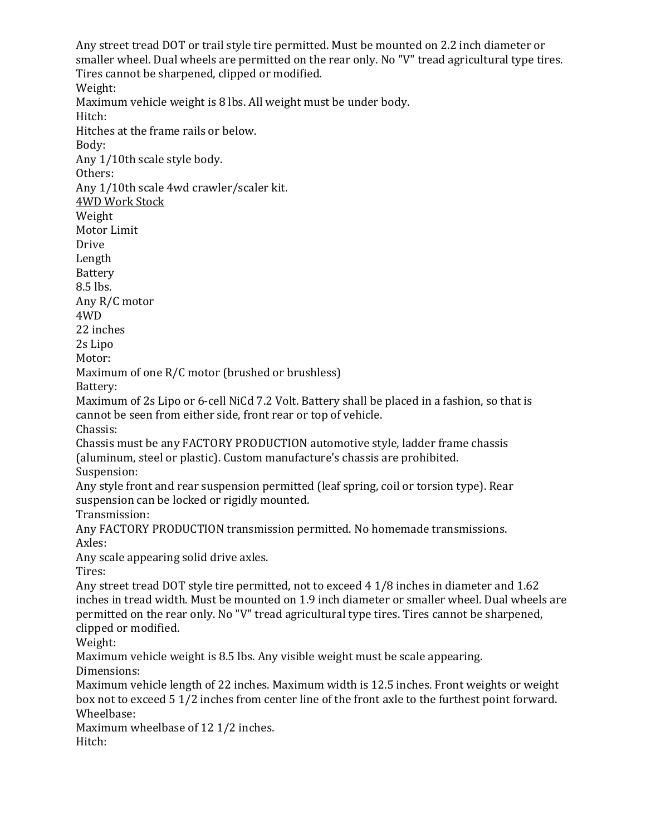Any street tread DOT or trail style tire permitted. Must be mounted on 2.2 inch diameter or smaller wheel. Dual wheels are permitted on the rear only. No "V" tread agricultural type tires. Tires cannot be sharpened, clipped or modified. Weight: Maximum vehicle weight is 8 lbs. All weight must be under body. Hitch: Hitches at the frame rails or below. Body: Any 1/10th scale style body. Others: Any 1/10th scale 4wd crawler/scaler kit. 4WD Work Stock Weight Motor Limit Drive Length Battery 8.5 lbs. Any R/C motor 4WD 22 inches 2s Lipo Motor: Maximum of one R/C motor (brushed or brushless) Battery: Maximum of 2s Lipo or 6-cell NiCd 7.2 Volt. Battery shall be placed in a fashion, so that is cannot be seen from either side, front rear or top of vehicle. Chassis: Chassis must be any FACTORY PRODUCTION automotive style, ladder frame chassis (aluminum, steel or plastic). Custom manufacture's chassis are prohibited. Suspension: Any style front and rear suspension permitted (leaf spring, coil or torsion type). Rear suspension can be locked or rigidly mounted. Transmission: Any FACTORY PRODUCTION transmission permitted. No homemade transmissions. Axles: Any scale appearing solid drive axles. Tires: Any street tread DOT style tire permitted, not to exceed 4 1/8 inches in diameter and 1.62 inches in tread width. Must be mounted on 1.9 inch diameter or smaller wheel. Dual wheels are permitted on the rear only. No "V" tread agricultural type tires. Tires cannot be sharpened, clipped or modified. Weight: Maximum vehicle weight is 8.5 lbs. Any visible weight must be scale appearing. Dimensions: Maximum vehicle length of 22 inches. Maximum width is 12.5 inches. Front weights or weight box not to exceed 5 1/2 inches from center line of the front axle to the furthest point forward. Wheelbase: Maximum wheelbase of 12 1/2 inches. Hitch: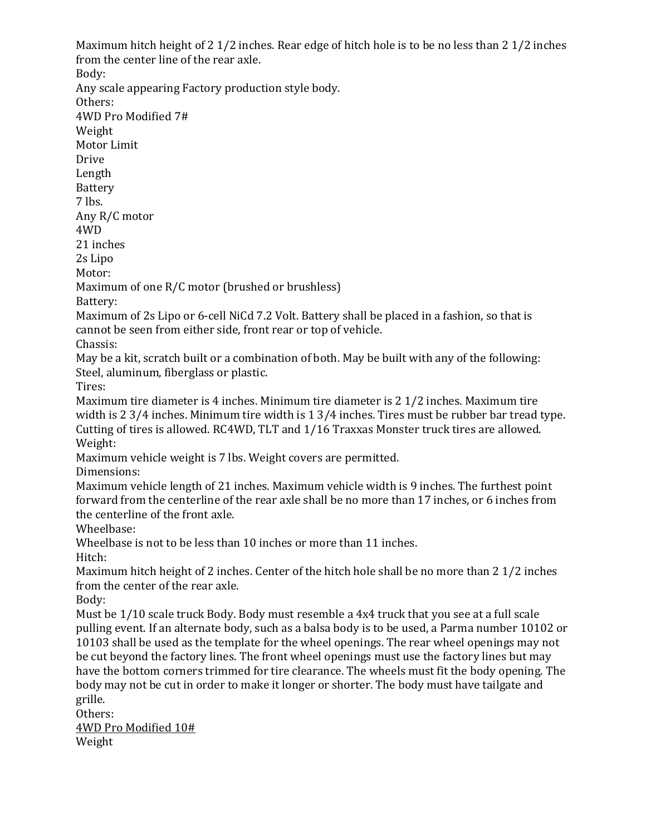Maximum hitch height of 2 1/2 inches. Rear edge of hitch hole is to be no less than 2 1/2 inches from the center line of the rear axle. Body: Any scale appearing Factory production style body. Others: 4WD Pro Modified 7# Weight Motor Limit Drive Length Battery 7 lbs. Any R/C motor 4WD 21 inches 2s Lipo Motor: Maximum of one R/C motor (brushed or brushless) Battery: Maximum of 2s Lipo or 6-cell NiCd 7.2 Volt. Battery shall be placed in a fashion, so that is cannot be seen from either side, front rear or top of vehicle. Chassis: May be a kit, scratch built or a combination of both. May be built with any of the following: Steel, aluminum, fiberglass or plastic. Tires: Maximum tire diameter is 4 inches. Minimum tire diameter is 2 1/2 inches. Maximum tire width is 2 3/4 inches. Minimum tire width is 1 3/4 inches. Tires must be rubber bar tread type. Cutting of tires is allowed. RC4WD, TLT and 1/16 Traxxas Monster truck tires are allowed. Weight: Maximum vehicle weight is 7 lbs. Weight covers are permitted. Dimensions: Maximum vehicle length of 21 inches. Maximum vehicle width is 9 inches. The furthest point forward from the centerline of the rear axle shall be no more than 17 inches, or 6 inches from the centerline of the front axle. Wheelbase: Wheelbase is not to be less than 10 inches or more than 11 inches. Hitch: Maximum hitch height of 2 inches. Center of the hitch hole shall be no more than 2 1/2 inches from the center of the rear axle. Body: Must be 1/10 scale truck Body. Body must resemble a 4x4 truck that you see at a full scale pulling event. If an alternate body, such as a balsa body is to be used, a Parma number 10102 or 10103 shall be used as the template for the wheel openings. The rear wheel openings may not be cut beyond the factory lines. The front wheel openings must use the factory lines but may have the bottom corners trimmed for tire clearance. The wheels must fit the body opening. The body may not be cut in order to make it longer or shorter. The body must have tailgate and grille. Others: 4WD Pro Modified 10# Weight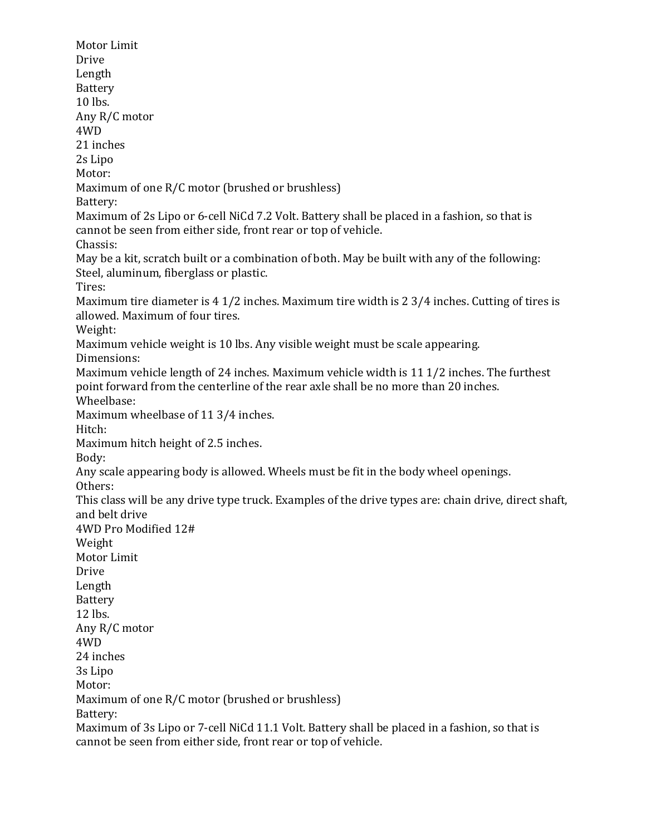Motor Limit Drive Length Battery 10 lbs. Any R/C motor 4WD 21 inches 2s Lipo Motor: Maximum of one R/C motor (brushed or brushless) Battery: Maximum of 2s Lipo or 6-cell NiCd 7.2 Volt. Battery shall be placed in a fashion, so that is cannot be seen from either side, front rear or top of vehicle. Chassis: May be a kit, scratch built or a combination of both. May be built with any of the following: Steel, aluminum, fiberglass or plastic. Tires: Maximum tire diameter is 4 1/2 inches. Maximum tire width is 2 3/4 inches. Cutting of tires is allowed. Maximum of four tires. Weight: Maximum vehicle weight is 10 lbs. Any visible weight must be scale appearing. Dimensions: Maximum vehicle length of 24 inches. Maximum vehicle width is 11 1/2 inches. The furthest point forward from the centerline of the rear axle shall be no more than 20 inches. Wheelbase: Maximum wheelbase of 11 3/4 inches. Hitch: Maximum hitch height of 2.5 inches. Body: Any scale appearing body is allowed. Wheels must be fit in the body wheel openings. Others: This class will be any drive type truck. Examples of the drive types are: chain drive, direct shaft, and belt drive 4WD Pro Modified 12# Weight Motor Limit Drive Length Battery 12 lbs. Any R/C motor 4WD 24 inches 3s Lipo Motor: Maximum of one R/C motor (brushed or brushless) Battery: Maximum of 3s Lipo or 7-cell NiCd 11.1 Volt. Battery shall be placed in a fashion, so that is cannot be seen from either side, front rear or top of vehicle.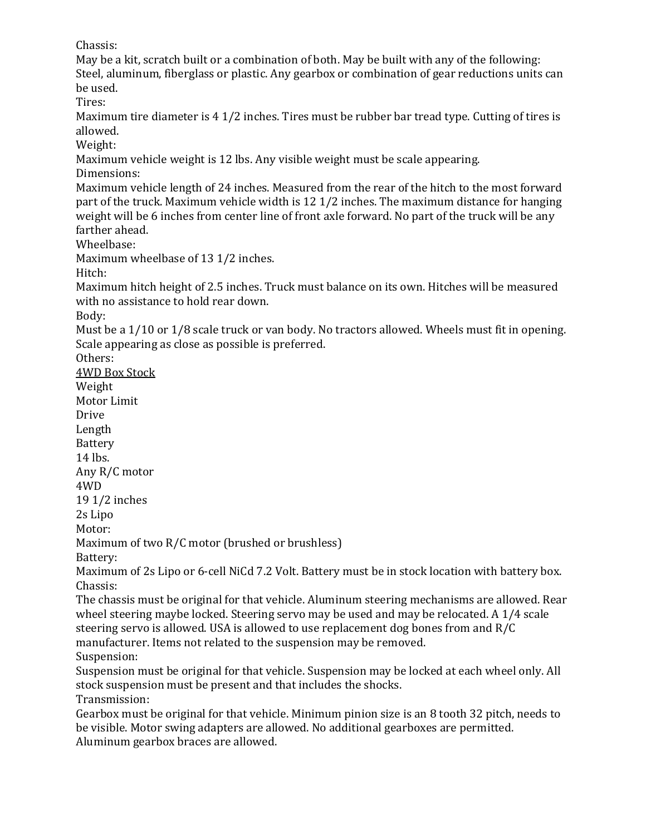Chassis:

May be a kit, scratch built or a combination of both. May be built with any of the following: Steel, aluminum, fiberglass or plastic. Any gearbox or combination of gear reductions units can be used.

Tires:

Maximum tire diameter is 4 1/2 inches. Tires must be rubber bar tread type. Cutting of tires is allowed.

Weight:

Maximum vehicle weight is 12 lbs. Any visible weight must be scale appearing.

Dimensions:

Maximum vehicle length of 24 inches. Measured from the rear of the hitch to the most forward part of the truck. Maximum vehicle width is 12 1/2 inches. The maximum distance for hanging weight will be 6 inches from center line of front axle forward. No part of the truck will be any farther ahead.

Wheelbase:

Maximum wheelbase of 13 1/2 inches.

Hitch:

Maximum hitch height of 2.5 inches. Truck must balance on its own. Hitches will be measured with no assistance to hold rear down.

Body:

Must be a 1/10 or 1/8 scale truck or van body. No tractors allowed. Wheels must fit in opening. Scale appearing as close as possible is preferred.

Others:

4WD Box Stock Weight

Motor Limit

Drive

Length Battery

14 lbs.

Any R/C motor

4WD

19 1/2 inches

2s Lipo

Motor:

Maximum of two R/C motor (brushed or brushless)

Battery:

Maximum of 2s Lipo or 6-cell NiCd 7.2 Volt. Battery must be in stock location with battery box. Chassis:

The chassis must be original for that vehicle. Aluminum steering mechanisms are allowed. Rear wheel steering maybe locked. Steering servo may be used and may be relocated. A 1/4 scale steering servo is allowed. USA is allowed to use replacement dog bones from and R/C manufacturer. Items not related to the suspension may be removed.

Suspension:

Suspension must be original for that vehicle. Suspension may be locked at each wheel only. All stock suspension must be present and that includes the shocks.

Transmission:

Gearbox must be original for that vehicle. Minimum pinion size is an 8 tooth 32 pitch, needs to be visible. Motor swing adapters are allowed. No additional gearboxes are permitted. Aluminum gearbox braces are allowed.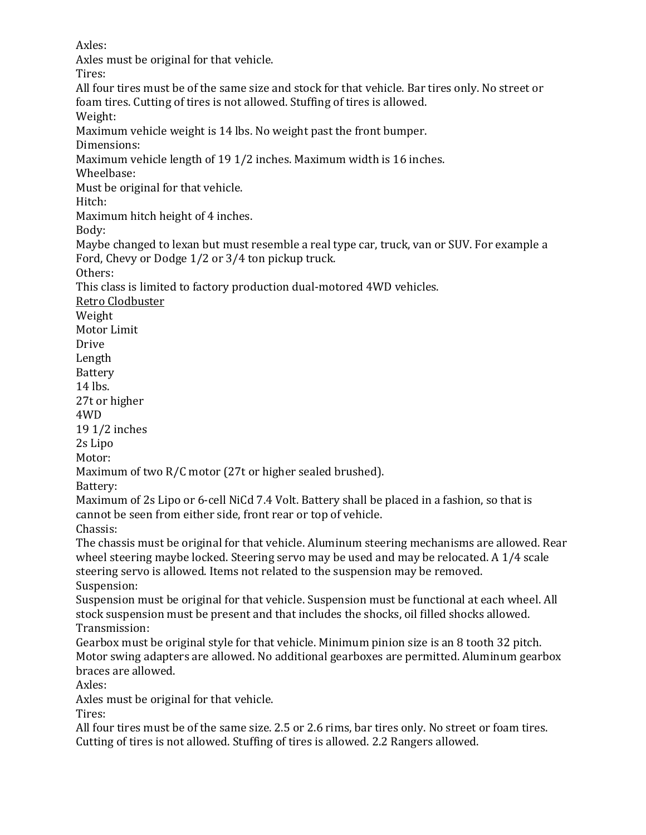Axles:

Axles must be original for that vehicle. Tires: All four tires must be of the same size and stock for that vehicle. Bar tires only. No street or foam tires. Cutting of tires is not allowed. Stuffing of tires is allowed. Weight: Maximum vehicle weight is 14 lbs. No weight past the front bumper. Dimensions: Maximum vehicle length of 19 1/2 inches. Maximum width is 16 inches. Wheelbase: Must be original for that vehicle. Hitch: Maximum hitch height of 4 inches. Body: Maybe changed to lexan but must resemble a real type car, truck, van or SUV. For example a Ford, Chevy or Dodge 1/2 or 3/4 ton pickup truck. Others: This class is limited to factory production dual-motored 4WD vehicles. Retro Clodbuster Weight Motor Limit Drive Length Battery 14 lbs. 27t or higher 4WD 19 1/2 inches 2s Lipo Motor: Maximum of two R/C motor (27t or higher sealed brushed). Battery: Maximum of 2s Lipo or 6-cell NiCd 7.4 Volt. Battery shall be placed in a fashion, so that is cannot be seen from either side, front rear or top of vehicle. Chassis: The chassis must be original for that vehicle. Aluminum steering mechanisms are allowed. Rear wheel steering maybe locked. Steering servo may be used and may be relocated. A 1/4 scale steering servo is allowed. Items not related to the suspension may be removed. Suspension: Suspension must be original for that vehicle. Suspension must be functional at each wheel. All stock suspension must be present and that includes the shocks, oil filled shocks allowed. Transmission: Gearbox must be original style for that vehicle. Minimum pinion size is an 8 tooth 32 pitch. Motor swing adapters are allowed. No additional gearboxes are permitted. Aluminum gearbox braces are allowed. Axles: Axles must be original for that vehicle.

Tires:

All four tires must be of the same size. 2.5 or 2.6 rims, bar tires only. No street or foam tires. Cutting of tires is not allowed. Stuffing of tires is allowed. 2.2 Rangers allowed.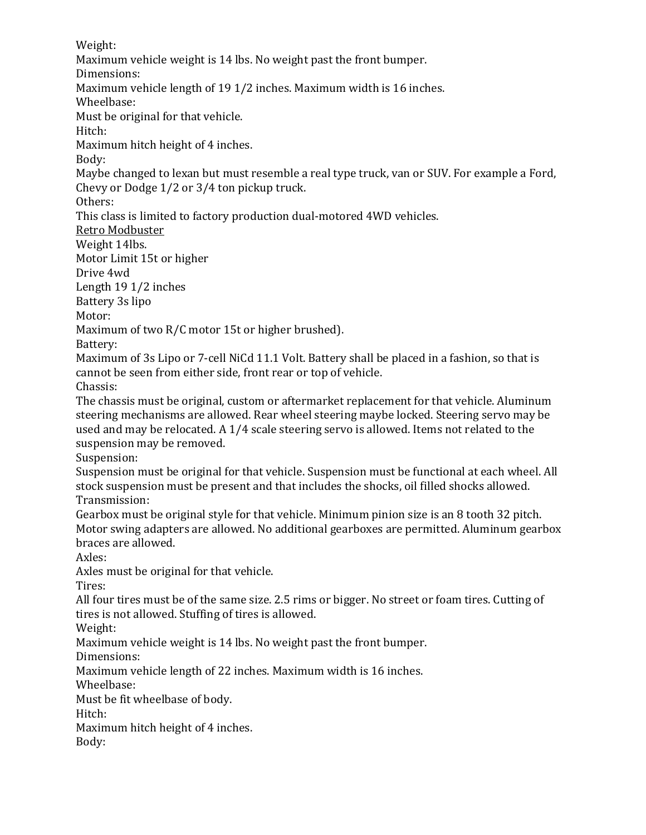Weight: Maximum vehicle weight is 14 lbs. No weight past the front bumper. Dimensions: Maximum vehicle length of 19 1/2 inches. Maximum width is 16 inches. Wheelbase: Must be original for that vehicle. Hitch: Maximum hitch height of 4 inches. Body: Maybe changed to lexan but must resemble a real type truck, van or SUV. For example a Ford, Chevy or Dodge 1/2 or 3/4 ton pickup truck. Others: This class is limited to factory production dual-motored 4WD vehicles. Retro Modbuster Weight 14lbs. Motor Limit 15t or higher Drive 4wd Length 19 1/2 inches Battery 3s lipo Motor: Maximum of two R/C motor 15t or higher brushed). Battery: Maximum of 3s Lipo or 7-cell NiCd 11.1 Volt. Battery shall be placed in a fashion, so that is cannot be seen from either side, front rear or top of vehicle. Chassis: The chassis must be original, custom or aftermarket replacement for that vehicle. Aluminum steering mechanisms are allowed. Rear wheel steering maybe locked. Steering servo may be used and may be relocated. A 1/4 scale steering servo is allowed. Items not related to the suspension may be removed. Suspension: Suspension must be original for that vehicle. Suspension must be functional at each wheel. All stock suspension must be present and that includes the shocks, oil filled shocks allowed. Transmission: Gearbox must be original style for that vehicle. Minimum pinion size is an 8 tooth 32 pitch. Motor swing adapters are allowed. No additional gearboxes are permitted. Aluminum gearbox braces are allowed. Axles: Axles must be original for that vehicle. Tires: All four tires must be of the same size. 2.5 rims or bigger. No street or foam tires. Cutting of tires is not allowed. Stuffing of tires is allowed. Weight: Maximum vehicle weight is 14 lbs. No weight past the front bumper. Dimensions: Maximum vehicle length of 22 inches. Maximum width is 16 inches. Wheelbase: Must be fit wheelbase of body. Hitch: Maximum hitch height of 4 inches.

Body: